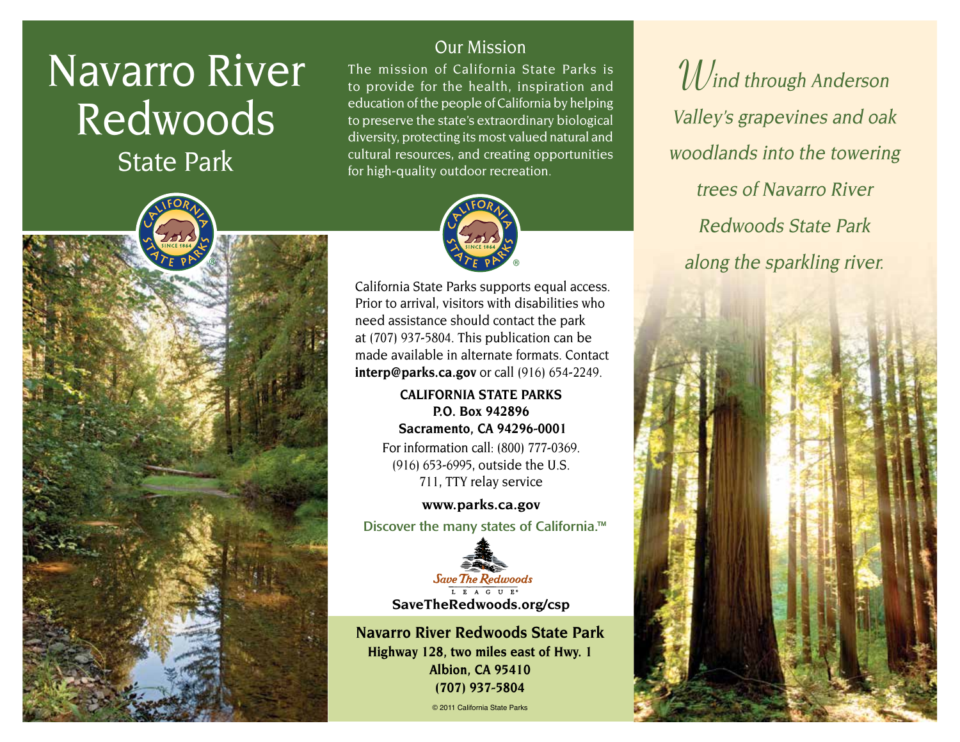# Navarro River Redwoods

State Park

### Our Mission

The mission of California State Parks is to provide for the health, inspiration and education of the people of California by helping to preserve the state's extraordinary biological diversity, protecting its most valued natural and cultural resources, and creating opportunities for high-quality outdoor recreation.



California State Parks supports equal access. Prior to arrival, visitors with disabilities who need assistance should contact the park at (707) 937-5804. This publication can be made available in alternate formats. Contact **[interp@parks.ca.gov](mailto:interp@parks.ca.gov)** or call (916) 654-2249.

> **CALIFORNIA STATE PARKS P.O. Box 942896 Sacramento, CA 94296-0001** For information call: (800) 777-0369. (916) 653-6995, outside the U.S. 711, TTY relay service

**[www.parks.ca.gov](http://www.parks.ca.gov)** Discover the many states of California.<sup>™</sup>



**Navarro River Redwoods State Park Highway 128, two miles east of Hwy. 1 Albion, CA 95410 (707) 937-5804**

© 2011 California State Parks

 $\mathcal{W}$ ind through Anderson Valley's grapevines and oak woodlands into the towering trees of Navarro River Redwoods State Park along the sparkling river.



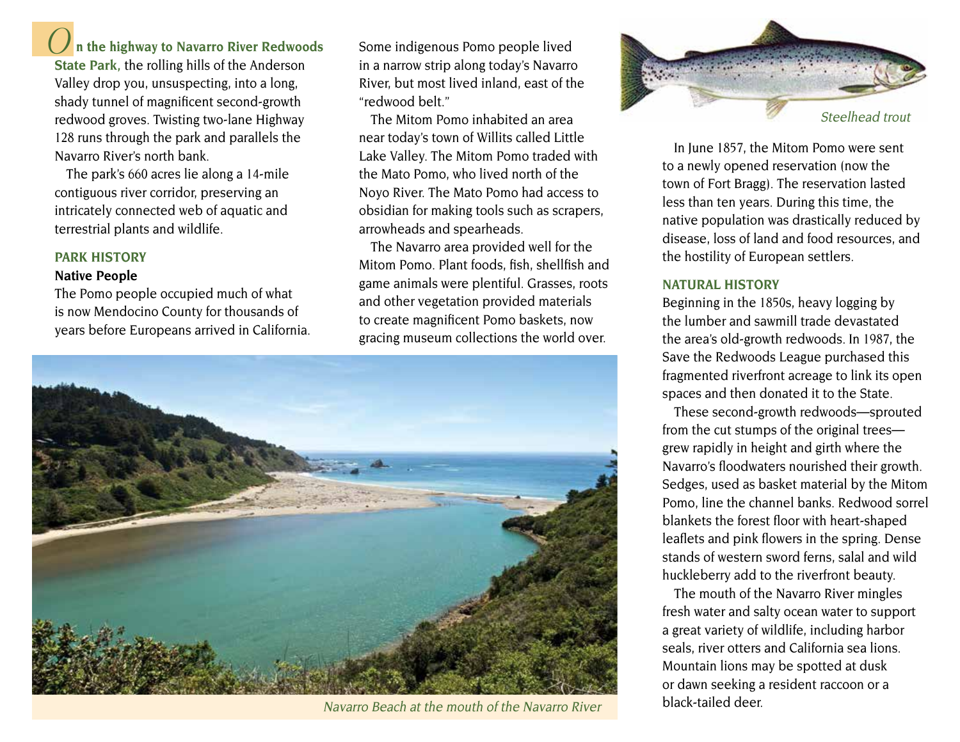# **O n the highway to Navarro River Redwoods**

**State Park,** the rolling hills of the Anderson Valley drop you, unsuspecting, into a long, shady tunnel of magnificent second-growth redwood groves. Twisting two-lane Highway 128 runs through the park and parallels the Navarro River's north bank.

The park's 660 acres lie along a 14-mile contiguous river corridor, preserving an intricately connected web of aquatic and terrestrial plants and wildlife.

#### **PARK HISTORY**

#### **Native People**

The Pomo people occupied much of what is now Mendocino County for thousands of years before Europeans arrived in California. Some indigenous Pomo people lived in a narrow strip along today's Navarro River, but most lived inland, east of the "redwood belt."

The Mitom Pomo inhabited an area near today's town of Willits called Little Lake Valley. The Mitom Pomo traded with the Mato Pomo, who lived north of the Noyo River. The Mato Pomo had access to obsidian for making tools such as scrapers, arrowheads and spearheads.

The Navarro area provided well for the Mitom Pomo. Plant foods, fish, shellfish and game animals were plentiful. Grasses, roots and other vegetation provided materials to create magnificent Pomo baskets, now gracing museum collections the world over.



Navarro Beach at the mouth of the Navarro River  $\parallel$  black-tailed deer.



In June 1857, the Mitom Pomo were sent to a newly opened reservation (now the town of Fort Bragg). The reservation lasted less than ten years. During this time, the native population was drastically reduced by disease, loss of land and food resources, and the hostility of European settlers.

#### **NATURAL HISTORY**

Beginning in the 1850s, heavy logging by the lumber and sawmill trade devastated the area's old-growth redwoods. In 1987, the Save the Redwoods League purchased this fragmented riverfront acreage to link its open spaces and then donated it to the State.

These second-growth redwoods—sprouted from the cut stumps of the original trees grew rapidly in height and girth where the Navarro's floodwaters nourished their growth. Sedges, used as basket material by the Mitom Pomo, line the channel banks. Redwood sorrel blankets the forest floor with heart-shaped leaflets and pink flowers in the spring. Dense stands of western sword ferns, salal and wild huckleberry add to the riverfront beauty.

The mouth of the Navarro River mingles fresh water and salty ocean water to support a great variety of wildlife, including harbor seals, river otters and California sea lions. Mountain lions may be spotted at dusk or dawn seeking a resident raccoon or a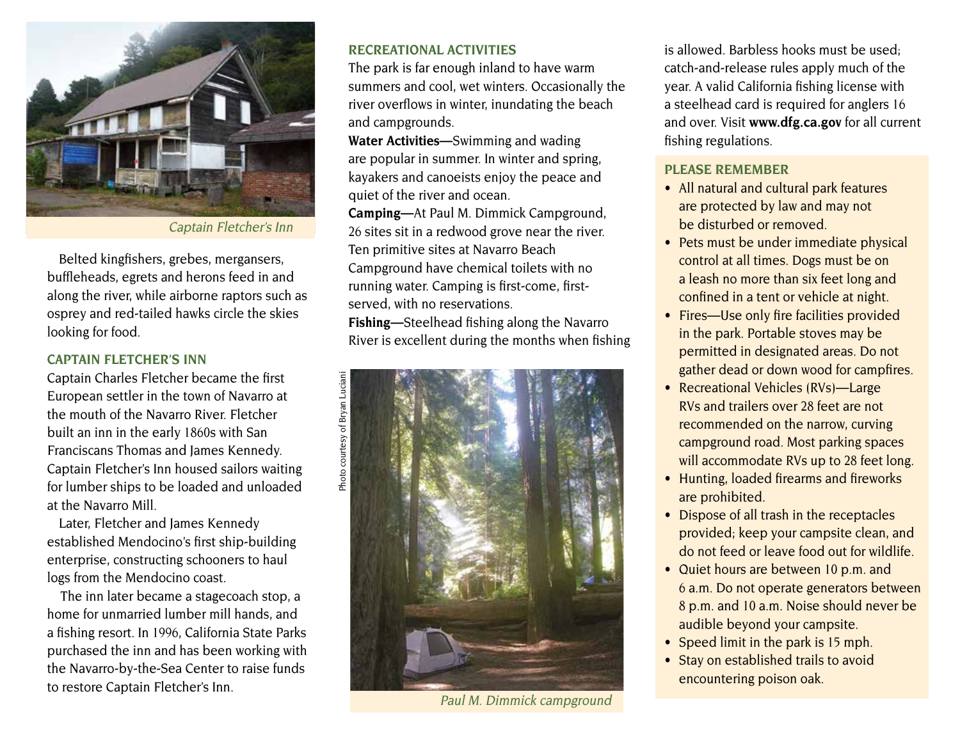

Captain Fletcher's Inn

Belted kingfishers, grebes, mergansers, buffleheads, egrets and herons feed in and along the river, while airborne raptors such as osprey and red-tailed hawks circle the skies looking for food.

#### **CAPTAIN FLETCHER'S INN**

Captain Charles Fletcher became the first European settler in the town of Navarro at the mouth of the Navarro River. Fletcher built an inn in the early 1860s with San Franciscans Thomas and James Kennedy. Captain Fletcher's Inn housed sailors waiting for lumber ships to be loaded and unloaded at the Navarro Mill.

Later, Fletcher and James Kennedy established Mendocino's first ship-building enterprise, constructing schooners to haul logs from the Mendocino coast.

 The inn later became a stagecoach stop, a home for unmarried lumber mill hands, and a fishing resort. In 1996, California State Parks purchased the inn and has been working with the Navarro-by-the-Sea Center to raise funds to restore Captain Fletcher's Inn.

#### **RECREATIONAL ACTIVITIES**

The park is far enough inland to have warm summers and cool, wet winters. Occasionally the river overflows in winter, inundating the beach and campgrounds.

**Water Activities—**Swimming and wading fishing regulations. are popular in summer. In winter and spring, kayakers and canoeists enjoy the peace and quiet of the river and ocean.

**Camping—**At Paul M. Dimmick Campground, 26 sites sit in a redwood grove near the river. Ten primitive sites at Navarro Beach Campground have chemical toilets with no running water. Camping is first-come, firstserved, with no reservations.

**Fishing—**Steelhead fishing along the Navarro River is excellent during the months when fishing



Paul M. Dimmick campground

is allowed. Barbless hooks must be used; catch-and-release rules apply much of the year. A valid California fishing license with a steelhead card is required for anglers 16 and over. Visit **www.dfg.ca.gov** for all current

#### **PLEASE REMEMBER**

- All natural and cultural park features are protected by law and may not be disturbed or removed.
- Pets must be under immediate physical control at all times. Dogs must be on a leash no more than six feet long and confined in a tent or vehicle at night.
- Fires—Use only fire facilities provided in the park. Portable stoves may be permitted in designated areas. Do not gather dead or down wood for campfires.
- Recreational Vehicles (RVs)—Large RVs and trailers over 28 feet are not recommended on the narrow, curving campground road. Most parking spaces will accommodate RVs up to 28 feet long.
- Hunting, loaded firearms and fireworks are prohibited.
- Dispose of all trash in the receptacles provided; keep your campsite clean, and do not feed or leave food out for wildlife.
- Quiet hours are between 10 p.m. and 6 a.m. Do not operate generators between 8 p.m. and 10 a.m. Noise should never be audible beyond your campsite.
- Speed limit in the park is  $15$  mph.
- Stay on established trails to avoid encountering poison oak.